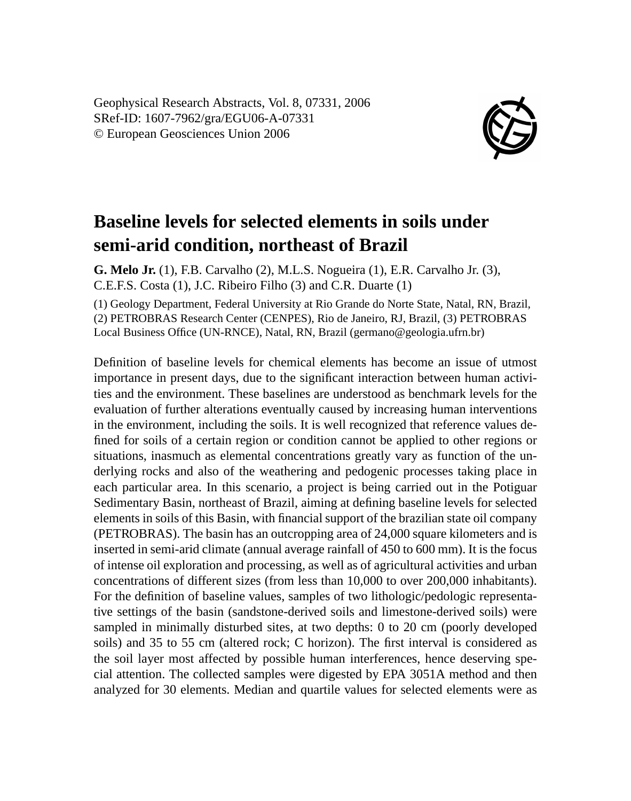Geophysical Research Abstracts, Vol. 8, 07331, 2006 SRef-ID: 1607-7962/gra/EGU06-A-07331 © European Geosciences Union 2006



## **Baseline levels for selected elements in soils under semi-arid condition, northeast of Brazil**

**G. Melo Jr.** (1), F.B. Carvalho (2), M.L.S. Nogueira (1), E.R. Carvalho Jr. (3), C.E.F.S. Costa (1), J.C. Ribeiro Filho (3) and C.R. Duarte (1)

(1) Geology Department, Federal University at Rio Grande do Norte State, Natal, RN, Brazil, (2) PETROBRAS Research Center (CENPES), Rio de Janeiro, RJ, Brazil, (3) PETROBRAS Local Business Office (UN-RNCE), Natal, RN, Brazil (germano@geologia.ufrn.br)

Definition of baseline levels for chemical elements has become an issue of utmost importance in present days, due to the significant interaction between human activities and the environment. These baselines are understood as benchmark levels for the evaluation of further alterations eventually caused by increasing human interventions in the environment, including the soils. It is well recognized that reference values defined for soils of a certain region or condition cannot be applied to other regions or situations, inasmuch as elemental concentrations greatly vary as function of the underlying rocks and also of the weathering and pedogenic processes taking place in each particular area. In this scenario, a project is being carried out in the Potiguar Sedimentary Basin, northeast of Brazil, aiming at defining baseline levels for selected elements in soils of this Basin, with financial support of the brazilian state oil company (PETROBRAS). The basin has an outcropping area of 24,000 square kilometers and is inserted in semi-arid climate (annual average rainfall of 450 to 600 mm). It is the focus of intense oil exploration and processing, as well as of agricultural activities and urban concentrations of different sizes (from less than 10,000 to over 200,000 inhabitants). For the definition of baseline values, samples of two lithologic/pedologic representative settings of the basin (sandstone-derived soils and limestone-derived soils) were sampled in minimally disturbed sites, at two depths: 0 to 20 cm (poorly developed soils) and 35 to 55 cm (altered rock; C horizon). The first interval is considered as the soil layer most affected by possible human interferences, hence deserving special attention. The collected samples were digested by EPA 3051A method and then analyzed for 30 elements. Median and quartile values for selected elements were as